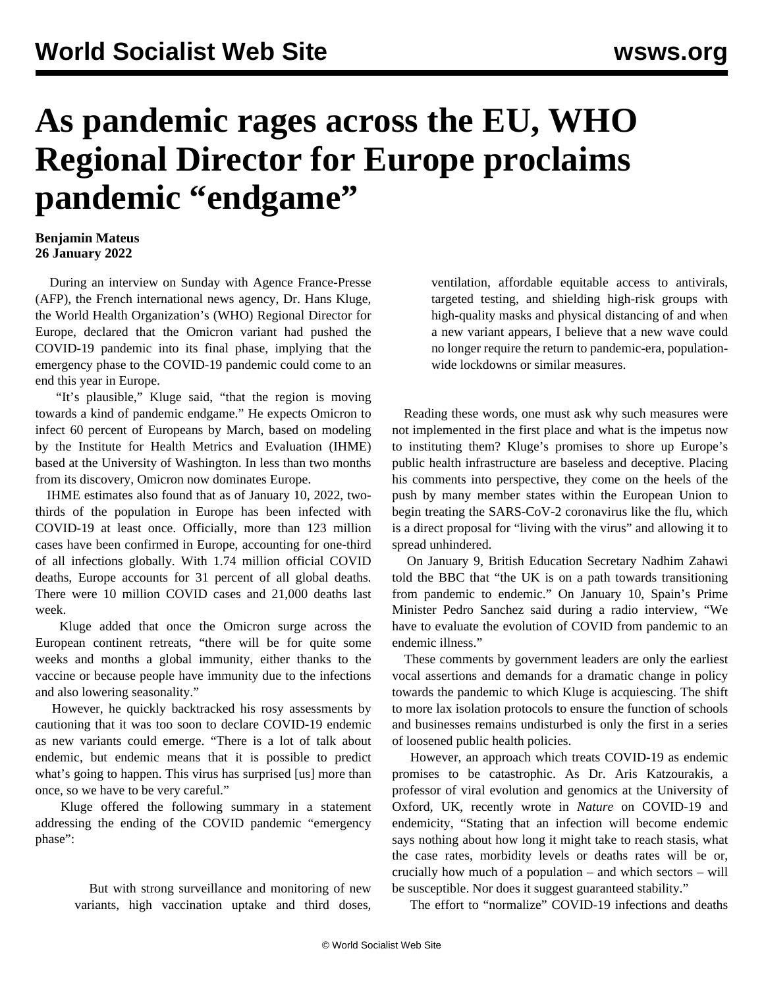## **As pandemic rages across the EU, WHO Regional Director for Europe proclaims pandemic "endgame"**

## **Benjamin Mateus 26 January 2022**

 During an interview on Sunday with Agence France-Presse (AFP), the French international news agency, Dr. Hans Kluge, the World Health Organization's (WHO) Regional Director for Europe, declared that the Omicron variant had pushed the COVID-19 pandemic into its final phase, implying that the emergency phase to the COVID-19 pandemic could come to an end this year in Europe.

 "It's plausible," Kluge said, "that the region is moving towards a kind of pandemic endgame." He expects Omicron to infect 60 percent of Europeans by March, based on modeling by the Institute for Health Metrics and Evaluation (IHME) based at the University of Washington. In less than two months from its discovery, Omicron now dominates Europe.

 IHME estimates also found that as of January 10, 2022, twothirds of the population in Europe has been infected with COVID-19 at least once. Officially, more than 123 million cases have been confirmed in Europe, accounting for one-third of all infections globally. With 1.74 million official COVID deaths, Europe accounts for 31 percent of all global deaths. There were 10 million COVID cases and 21,000 deaths last week.

 Kluge added that once the Omicron surge across the European continent retreats, "there will be for quite some weeks and months a global immunity, either thanks to the vaccine or because people have immunity due to the infections and also lowering seasonality."

 However, he quickly backtracked his rosy assessments by cautioning that it was too soon to declare COVID-19 endemic as new variants could emerge. "There is a lot of talk about endemic, but endemic means that it is possible to predict what's going to happen. This virus has surprised [us] more than once, so we have to be very careful."

 Kluge offered the following summary in a statement addressing the ending of the COVID pandemic "emergency phase":

> But with strong surveillance and monitoring of new variants, high vaccination uptake and third doses,

ventilation, affordable equitable access to antivirals, targeted testing, and shielding high-risk groups with high-quality masks and physical distancing of and when a new variant appears, I believe that a new wave could no longer require the return to pandemic-era, populationwide lockdowns or similar measures.

 Reading these words, one must ask why such measures were not implemented in the first place and what is the impetus now to instituting them? Kluge's promises to shore up Europe's public health infrastructure are baseless and deceptive. Placing his comments into perspective, they come on the heels of the push by many member states within the European Union to begin treating the SARS-CoV-2 coronavirus like the flu, which is a direct proposal for "living with the virus" and allowing it to spread unhindered.

 On January 9, British Education Secretary Nadhim Zahawi told the BBC that "the UK is on a path towards transitioning from pandemic to endemic." On January 10, Spain's Prime Minister Pedro Sanchez said during a radio interview, "We have to evaluate the evolution of COVID from pandemic to an endemic illness."

 These comments by government leaders are only the earliest vocal assertions and demands for a dramatic change in policy towards the pandemic to which Kluge is acquiescing. The shift to more lax isolation protocols to ensure the function of schools and businesses remains undisturbed is only the first in a series of loosened public health policies.

 However, an approach which treats COVID-19 as endemic promises to be catastrophic. As Dr. Aris Katzourakis, a professor of viral evolution and genomics at the University of Oxford, UK, recently wrote in *[Nature](https://www.nature.com/articles/d41586-022-00155-x)* on COVID-19 and endemicity, "Stating that an infection will become endemic says nothing about how long it might take to reach stasis, what the case rates, morbidity levels or deaths rates will be or, crucially how much of a population – and which sectors – will be susceptible. Nor does it suggest guaranteed stability."

The effort to "normalize" COVID-19 infections and deaths